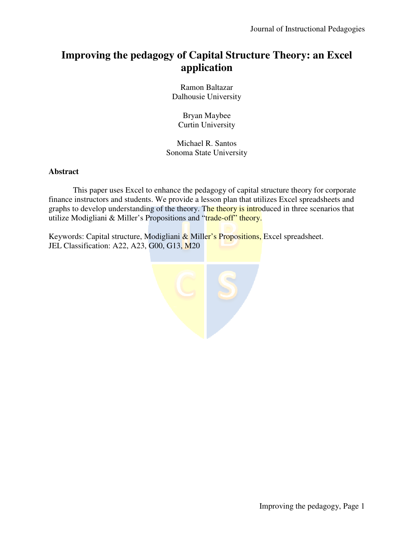# **Improving the pedagogy of Capital Structure Theory: an Excel application**

Ramon Baltazar Dalhousie University

Bryan Maybee Curtin University

Michael R. Santos Sonoma State University

## **Abstract**

This paper uses Excel to enhance the pedagogy of capital structure theory for corporate finance instructors and students. We provide a lesson plan that utilizes Excel spreadsheets and graphs to develop understanding of the theory. The theory is introduced in three scenarios that utilize Modigliani & Miller's Propositions and "trade-off" theory.

Keywords: Capital structure, Modigliani & Miller's Propositions, Excel spreadsheet. JEL Classification: A22, A23, G00, G13, M20

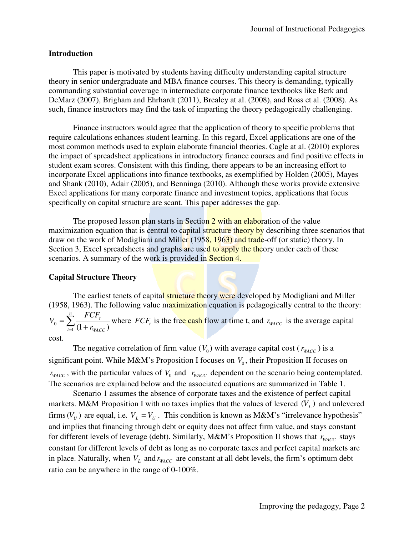#### **Introduction**

This paper is motivated by students having difficulty understanding capital structure theory in senior undergraduate and MBA finance courses. This theory is demanding, typically commanding substantial coverage in intermediate corporate finance textbooks like Berk and DeMarz (2007), Brigham and Ehrhardt (2011), Brealey at al. (2008), and Ross et al. (2008). As such, finance instructors may find the task of imparting the theory pedagogically challenging.

Finance instructors would agree that the application of theory to specific problems that require calculations enhances student learning. In this regard, Excel applications are one of the most common methods used to explain elaborate financial theories. Cagle at al. (2010) explores the impact of spreadsheet applications in introductory finance courses and find positive effects in student exam scores. Consistent with this finding, there appears to be an increasing effort to incorporate Excel applications into finance textbooks, as exemplified by Holden (2005), Mayes and Shank (2010), Adair (2005), and Benninga (2010). Although these works provide extensive Excel applications for many corporate finance and investment topics, applications that focus specifically on capital structure are scant. This paper addresses the gap.

The proposed lesson plan starts in Section 2 with an elaboration of the value maximization equation that is central to capital structure theory by describing three scenarios that draw on the work of Modigliani and Miller (1958, 1963) and trade-off (or static) theory. In Section 3, Excel spreadsheets and graphs are used to apply the theory under each of these scenarios. A summary of the work is provided in Section 4.

#### **Capital Structure Theory**

The earliest tenets of capital structure theory were developed by Modigliani and Miller (1958, 1963). The following value maximization equation is pedagogically central to the theory:  $=\sum_{t=1}^{n}\frac{F}{(1+h)}$  $t=1$   $(1 \top V_{WACC})$ *t r FCF V* 1  $V_0 = \sum_{t=1}^{\infty} \frac{1}{(1 + r_{WACC})}$  where *FCF<sub>t</sub>* is the free cash flow at time t, and  $r_{WACC}$  is the average capital

cost.

The negative correlation of firm value  $(V_0)$  with average capital cost  $(r_{\text{WACC}})$  is a significant point. While M&M's Proposition I focuses on  $V_0$ , their Proposition II focuses on  $r_{\text{WACC}}$ , with the particular values of  $V_0$  and  $r_{\text{WACC}}$  dependent on the scenario being contemplated. The scenarios are explained below and the associated equations are summarized in Table 1.

Scenario 1 assumes the absence of corporate taxes and the existence of perfect capital markets. M&M Proposition I with no taxes implies that the values of levered  $(V_L)$  and unlevered firms  $(V_U)$  are equal, i.e.  $V_L = V_U$ . This condition is known as M&M's "irrelevance hypothesis" and implies that financing through debt or equity does not affect firm value, and stays constant for different levels of leverage (debt). Similarly, M&M's Proposition II shows that  $r_{wACC}$  stays constant for different levels of debt as long as no corporate taxes and perfect capital markets are in place. Naturally, when  $V_L$  and  $r_{WACC}$  are constant at all debt levels, the firm's optimum debt ratio can be anywhere in the range of 0-100%.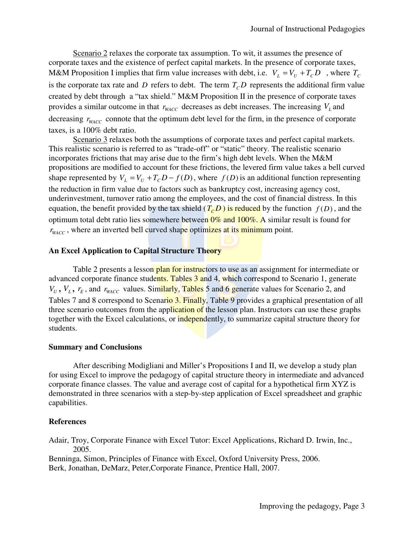Scenario 2 relaxes the corporate tax assumption. To wit, it assumes the presence of corporate taxes and the existence of perfect capital markets. In the presence of corporate taxes, M&M Proposition I implies that firm value increases with debt, i.e.  $V_L = V_U + T_C D$ , where  $T_C$ is the corporate tax rate and *D* refers to debt. The term  $T<sub>C</sub>D$  represents the additional firm value created by debt through a "tax shield." M&M Proposition II in the presence of corporate taxes provides a similar outcome in that  $r_{\text{WACC}}$  decreases as debt increases. The increasing  $V_L$  and decreasing  $r_{\text{WACC}}$  connote that the optimum debt level for the firm, in the presence of corporate taxes, is a 100% debt ratio.

Scenario 3 relaxes both the assumptions of corporate taxes and perfect capital markets. This realistic scenario is referred to as "trade-off" or "static" theory. The realistic scenario incorporates frictions that may arise due to the firm's high debt levels. When the M&M propositions are modified to account for these frictions, the levered firm value takes a bell curved shape represented by  $V_L = V_U + T_C D - f(D)$ , where  $f(D)$  is an additional function representing the reduction in firm value due to factors such as bankruptcy cost, increasing agency cost, underinvestment, turnover ratio among the employees, and the cost of financial distress. In this equation, the benefit provided by the tax shield  $(T_c D)$  is reduced by the function  $f(D)$ , and the optimum total debt ratio lies somewhere between  $0\%$  and  $100\%$ . A similar result is found for  $r_{\text{WACC}}$ , where an inverted bell curved shape optimizes at its minimum point.

### **An Excel Application to Capital Structure Theory**

Table 2 presents a lesson plan for instructors to use as an assignment for intermediate or advanced corporate finance students. Tables 3 and 4, which correspond to Scenario 1, generate  $V_U$ ,  $V_L$ ,  $r_E$ , and  $r_{WACC}$  values. Similarly, Tables 5 and 6 generate values for Scenario 2, and Tables 7 and 8 correspond to Scenario 3. Finally, Table 9 provides a graphical presentation of all three scenario outcomes from the application of the lesson plan. Instructors can use these graphs together with the Excel calculations, or independently, to summarize capital structure theory for students.

#### **Summary and Conclusions**

After describing Modigliani and Miller's Propositions I and II, we develop a study plan for using Excel to improve the pedagogy of capital structure theory in intermediate and advanced corporate finance classes. The value and average cost of capital for a hypothetical firm XYZ is demonstrated in three scenarios with a step-by-step application of Excel spreadsheet and graphic capabilities.

#### **References**

Adair, Troy, Corporate Finance with Excel Tutor: Excel Applications, Richard D. Irwin, Inc., 2005.

Benninga, Simon, Principles of Finance with Excel, Oxford University Press, 2006. Berk, Jonathan, DeMarz, Peter,Corporate Finance, Prentice Hall, 2007.